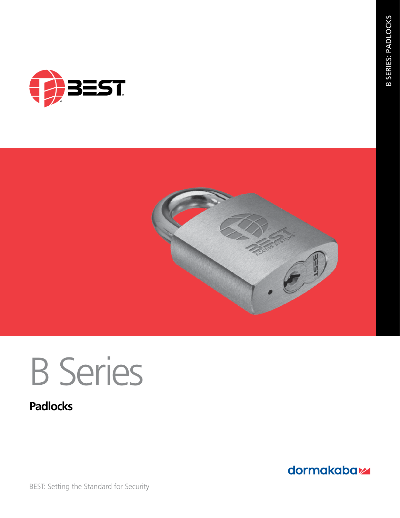



# B Series

# **Padlocks**

dormakabaz

**B SERIES: PADLOCKS** B SERIES: PADLOCKS

BEST: Setting the Standard for Security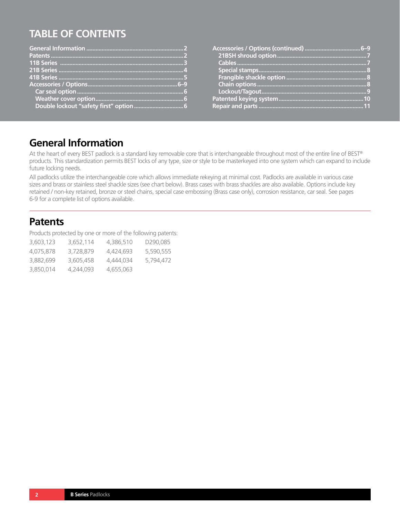# **TABLE OF CONTENTS**

# **General Information**

At the heart of every BEST padlock is a standard key removable core that is interchangeable throughout most of the entire line of BEST® products. This standardization permits BEST locks of any type, size or style to be masterkeyed into one system which can expand to include future locking needs.

All padlocks utilize the interchangeable core which allows immediate rekeying at minimal cost. Padlocks are available in various case sizes and brass or stainless steel shackle sizes (see chart below). Brass cases with brass shackles are also available. Options include key retained / non-key retained, bronze or steel chains, special case embossing (Brass case only), corrosion resistance, car seal. See pages 6-9 for a complete list of options available.

### **Patents**

Products protected by one or more of the following patents:

| 3,603,123 | 3,652,114 | 4.386.510 | D <sub>290.085</sub> |
|-----------|-----------|-----------|----------------------|
| 4.075.878 | 3.728.879 | 4.424.693 | 5,590,555            |
| 3,882,699 | 3,605,458 | 4.444.034 | 5.794.472            |
| 3,850,014 | 4,244,093 | 4,655,063 |                      |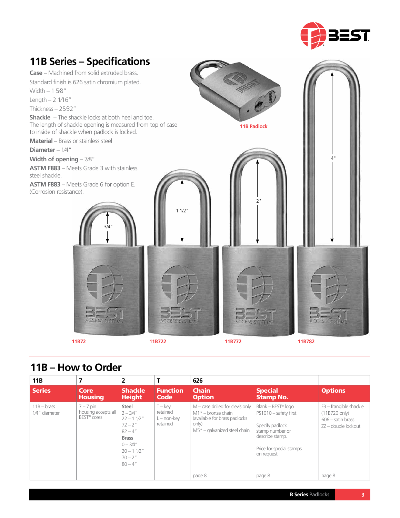

# **11B72 11B722 11B772 11B782 11B Series – Specifications Case** – Machined from solid extruded brass. Standard finish is 626 satin chromium plated. Width – 1 5⁄8" Length – 2 1⁄16" Thickness – 25⁄32" **Shackle** – The shackle locks at both heel and toe. The length of shackle opening is measured from top of case to inside of shackle when padlock is locked. **Material** – Brass or stainless steel **Diameter** – 1⁄4" **Width of opening** – 7⁄8" **ASTM F883** – Meets Grade 3 with stainless steel shackle. **ASTM F883** – Meets Grade 6 for option E. (Corrosion resistance). **11B Padlock** 3/4" 1 1/2"  $\overline{2}$ 4"

## **11B – How to Order**

| 11B                                   |                                                               | 2                                                                                                                                            |                                                     | 626                                                                                                                                               |                                                                                                                                                             |                                                                                                 |
|---------------------------------------|---------------------------------------------------------------|----------------------------------------------------------------------------------------------------------------------------------------------|-----------------------------------------------------|---------------------------------------------------------------------------------------------------------------------------------------------------|-------------------------------------------------------------------------------------------------------------------------------------------------------------|-------------------------------------------------------------------------------------------------|
| <b>Series</b>                         | Core<br><b>Housing</b>                                        | <b>Shackle</b><br><b>Height</b>                                                                                                              | <b>Function</b><br>Code                             | <b>Chain</b><br><b>Option</b>                                                                                                                     | <b>Special</b><br><b>Stamp No.</b>                                                                                                                          | <b>Options</b>                                                                                  |
| $11B - \text{brass}$<br>1/4" diameter | $7 - 7$ pin<br>housing accepts all<br>BEST <sup>®</sup> cores | Steel<br>$2 - 3/4''$<br>$22 - 11/2$ "<br>$72 - 2''$<br>$82 - 4''$<br><b>Brass</b><br>$0 - 3/4"$<br>$20 - 11/2$ "<br>$70 - 2''$<br>$80 - 4''$ | $T - k$ ev<br>retained<br>$L$ – non-key<br>retained | $M$ – case drilled for clevis only<br>$M1* -$ bronze chain<br>(available for brass padlocks)<br>only)<br>$M5*$ – galvanized steel chain<br>page 8 | $Blank - BEST® loqo$<br>PS1010 - safety first<br>Specify padlock<br>stamp number or<br>describe stamp.<br>Price for special stamps<br>on request.<br>page 8 | F3 - frangible shackle<br>(11B720 only)<br>$606 -$ satin brass<br>ZZ – double lockout<br>page 8 |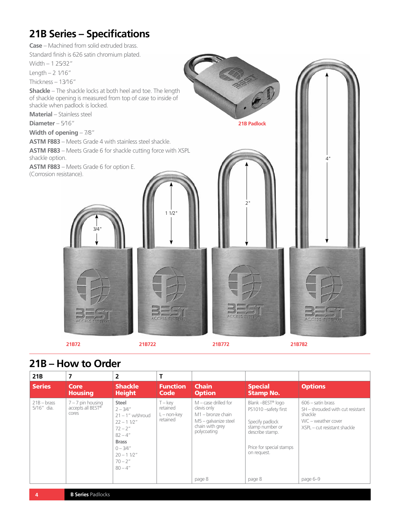# **21B Series – Specifications**

**Case** – Machined from solid extruded brass.

Standard finish is 626 satin chromium plated.

Width – 1 25⁄32"

Length – 2 1⁄16"

Thickness – 13⁄16"

**Shackle** – The shackle locks at both heel and toe. The length of shackle opening is measured from top of case to inside of shackle when padlock is locked.

**Material** – Stainless steel

**Diameter** – 5⁄16"

**Width of opening** – 7⁄8"

**ASTM F883** – Meets Grade 4 with stainless steel shackle.

**ASTM F883** – Meets Grade 6 for shackle cutting force with XSPL shackle option.

**ASTM F883** – Meets Grade 6 for option E. (Corrosion resistance).



# **21B – How to Order**

| 21B                        | 7                                                 | 2                                                                                                                                                                  |                                                |                                                                                                                          |                                                                                                                                                           |                                                                                                                          |
|----------------------------|---------------------------------------------------|--------------------------------------------------------------------------------------------------------------------------------------------------------------------|------------------------------------------------|--------------------------------------------------------------------------------------------------------------------------|-----------------------------------------------------------------------------------------------------------------------------------------------------------|--------------------------------------------------------------------------------------------------------------------------|
| <b>Series</b>              | Core<br><b>Housing</b>                            | <b>Shackle</b><br><b>Height</b>                                                                                                                                    | <b>Function</b><br>Code                        | <b>Chain</b><br><b>Option</b>                                                                                            | <b>Special</b><br><b>Stamp No.</b>                                                                                                                        | <b>Options</b>                                                                                                           |
| $21B - bras$<br>5/16" dia. | $7 - 7$ pin housing<br>accepts all BEST®<br>cores | Steel<br>$2 - 3/4''$<br>$21 - 1$ " w/shroud<br>$22 - 11/2$ "<br>$72 - 2''$<br>$82 - 4"$<br><b>Brass</b><br>$0 - 3/4''$<br>$20 - 11/2$ "<br>$70 - 2''$<br>$80 - 4"$ | T – kev<br>retained<br>L – non-kev<br>retained | $M$ – case drilled for<br>clevis only<br>$M1$ – bronze chain<br>$M5$ – galvanize steel<br>chain with grey<br>polycoating | Blank - BEST <sup>®</sup> logo<br>PS1010-safety first<br>Specify padlock<br>stamp number or<br>describe stamp.<br>Price for special stamps<br>on request. | $606 -$ satin brass<br>SH - shrouded with cut resistant<br>shackle<br>WC – weather cover<br>XSPL - cut resistant shackle |
|                            |                                                   |                                                                                                                                                                    |                                                | page 8                                                                                                                   | page 8                                                                                                                                                    | page 6-9                                                                                                                 |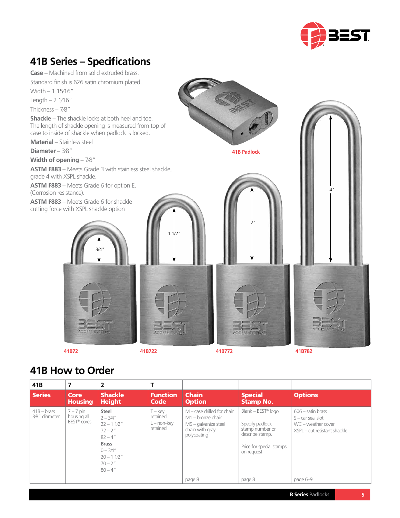

# **41B Series – Specifications**

**Case** – Machined from solid extruded brass. Standard finish is 626 satin chromium plated. Width – 1 15⁄16"

Length  $- 2 \frac{1}{16}$ "

Thickness – 7⁄8"

**Shackle** – The shackle locks at both heel and toe. The length of shackle opening is measured from top of case to inside of shackle when padlock is locked.

**Material** – Stainless steel

**Diameter** – 3⁄8"

**Width of opening** – 7⁄8"

**ASTM F883** – Meets Grade 3 with stainless steel shackle, grade 4 with XSPL shackle.

3/4"

**ASTM F883** – Meets Grade 6 for option E. (Corrosion resistance).

**ASTM F883** – Meets Grade 6 for shackle cutting force with XSPL shackle option





**41B72 41B722 41B772 41B782**

## **41B How to Order**

| 41B                        | 7                                                     | 2                                                                                                                                                  |                                                   |                                                                                                                 |                                                                                                                                    |                                                                                                  |
|----------------------------|-------------------------------------------------------|----------------------------------------------------------------------------------------------------------------------------------------------------|---------------------------------------------------|-----------------------------------------------------------------------------------------------------------------|------------------------------------------------------------------------------------------------------------------------------------|--------------------------------------------------------------------------------------------------|
| <b>Series</b>              | Core<br><b>Housing</b>                                | <b>Shackle</b><br><b>Height</b>                                                                                                                    | <b>Function</b><br><b>Code</b>                    | <b>Chain</b><br><b>Option</b>                                                                                   | <b>Special</b><br><b>Stamp No.</b>                                                                                                 | <b>Options</b>                                                                                   |
| $41B - b$<br>3⁄8" diameter | $7 - 7$ pin<br>housing all<br>BEST <sup>®</sup> cores | <b>Steel</b><br>$2 - 3/4''$<br>$22 - 11/2$ "<br>$72 - 2''$<br>$82 - 4''$<br><b>Brass</b><br>$0 - 3/4"$<br>$20 - 11/2$ "<br>$70 - 2''$<br>$80 - 4"$ | $T - k$ ev<br>retained<br>L – non-kev<br>retained | $M$ – case drilled for chain<br>$M1 -$ bronze chain<br>$M5$ – galvanize steel<br>chain with gray<br>polycoating | Blank – BEST <sup>®</sup> logo<br>Specify padlock<br>stamp number or<br>describe stamp.<br>Price for special stamps<br>on request. | $606 -$ satin brass<br>$S - car$ seal slot<br>WC – weather cover<br>XSPL - cut resistant shackle |
|                            |                                                       |                                                                                                                                                    |                                                   | page 8                                                                                                          | page 8                                                                                                                             | page 6-9                                                                                         |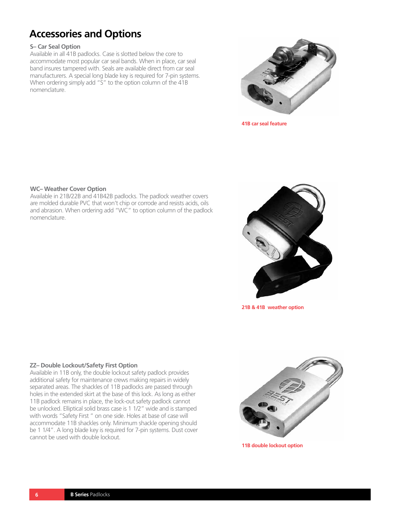# **Accessories and Options**

#### **S– Car Seal Option**

Available in all 41B padlocks. Case is slotted below the core to accommodate most popular car seal bands. When in place, car seal band insures tampered with. Seals are available direct from car seal manufacturers. A special long blade key is required for 7-pin systems. When ordering simply add "S" to the option column of the 41B nomenclature.



**41B car seal feature**

#### **WC– Weather Cover Option**

Available in 21B/22B and 41B42B padlocks. The padlock weather covers are molded durable PVC that won't chip or corrode and resists acids, oils and abrasion. When ordering add "WC" to option column of the padlock nomenclature.



**21B & 41B weather option**

#### **ZZ– Double Lockout/Safety First Option**

Available in 11B only, the double lockout safety padlock provides additional safety for maintenance crews making repairs in widely separated areas. The shackles of 11B padlocks are passed through holes in the extended skirt at the base of this lock. As long as either 11B padlock remains in place, the lock-out safety padlock cannot be unlocked. Elliptical solid brass case is 1 1/2" wide and is stamped with words "Safety First " on one side. Holes at base of case will accommodate 11B shackles only. Minimum shackle opening should be 1 1/4". A long blade key is required for 7-pin systems. Dust cover cannot be used with double lockout.



**11B double lockout option**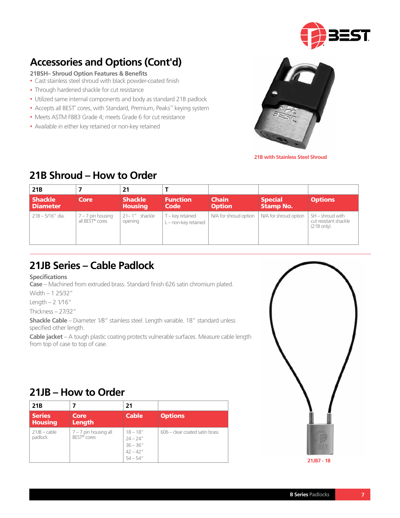

# **Accessories and Options (Cont'd)**

**21BSH– Shroud Option Features & Benefits**

- Cast stainless steel shroud with black powder-coated finish
- Through hardened shackle for cut resistance
- Utilized same internal components and body as standard 21B padlock
- Accepts all BEST° cores, with Standard, Premium, Peaks™ keying system
- Meets ASTM F883 Grade 4; meets Grade 6 for cut resistance
- Available in either key retained or non-key retained



**21B with Stainless Steel Shroud**

## **21B Shroud – How to Order**

| 21 <sub>B</sub>                   |                                                    | 21                               |                                        |                               |                                    |                                                            |
|-----------------------------------|----------------------------------------------------|----------------------------------|----------------------------------------|-------------------------------|------------------------------------|------------------------------------------------------------|
| <b>Shackle</b><br><b>Diameter</b> | Core                                               | <b>Shackle</b><br><b>Housing</b> | <b>Function</b><br><b>Code</b>         | <b>Chain</b><br><b>Option</b> | <b>Special</b><br><b>Stamp No.</b> | <b>Options</b>                                             |
| $21B - 5/16''$ dia.               | $7 - 7$ pin housing<br>all BEST <sup>®</sup> cores | $21 - 1''$ shackle<br>opening    | T - key retained<br>L-non-key retained | N/A for shroud option         | N/A for shroud option              | SH - shroud with<br>cut resistant shackle<br>$(21B)$ only) |

# **21JB Series – Cable Padlock**

**Specifications**

**Case** – Machined from extruded brass. Standard finish 626 satin chromium plated.

Width – 1 25⁄32"

Length  $- 2 \frac{1}{16}$ "

Thickness – 27⁄32"

**Shackle Cable** – Diameter 1⁄8" stainless steel. Length variable. 18" standard unless specified other length.

**Cable jacket** – A tough plastic coating protects vulnerable surfaces. Measure cable length from top of case to top of case.

## **21JB – How to Order**

| 21 <sub>B</sub>                 |                                                    | 21                                                                    |                                |
|---------------------------------|----------------------------------------------------|-----------------------------------------------------------------------|--------------------------------|
| <b>Series</b><br><b>Housing</b> | Core<br><b>Length</b>                              | <b>Cable</b>                                                          | Options                        |
| $21JB - cable$<br>padlock       | $7 - 7$ pin housing all<br>BEST <sup>®</sup> cores | $18 - 18''$<br>$24 - 24"$<br>$36 - 36"$<br>$42 - 42''$<br>$54 - 54''$ | 606 – clear coated satin brass |

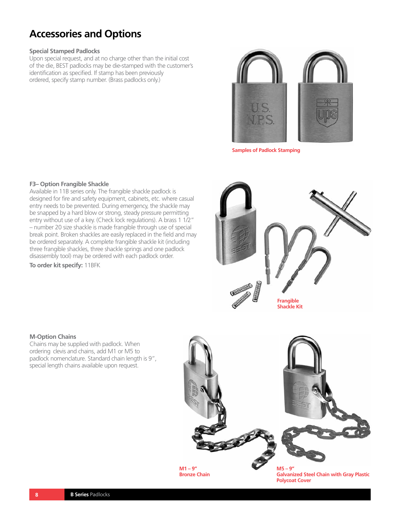# **Accessories and Options**

#### **Special Stamped Padlocks**

Upon special request, and at no charge other than the initial cost of the die, BEST padlocks may be die-stamped with the customer's identification as specified. If stamp has been previously ordered, specify stamp number. (Brass padlocks only.)



**Samples of Padlock Stamping**

#### **F3– Option Frangible Shackle**

Available in 11B series only. The frangible shackle padlock is designed for fire and safety equipment, cabinets, etc. where casual entry needs to be prevented. During emergency, the shackle may be snapped by a hard blow or strong, steady pressure permitting entry without use of a key. (Check lock regulations). A brass 1 1/2" – number 20 size shackle is made frangible through use of special break point. Broken shackles are easily replaced in the field and may be ordered separately. A complete frangible shackle kit (including three frangible shackles, three shackle springs and one padlock disassembly tool) may be ordered with each padlock order. **To order kit specify:** 11BFK



#### **M-Option Chains**

Chains may be supplied with padlock. When ordering clevis and chains, add M1 or M5 to padlock nomenclature. Standard chain length is 9", special length chains available upon request.



**Bronze Chain**

**Galvanized Steel Chain with Gray Plastic Polycoat Cover**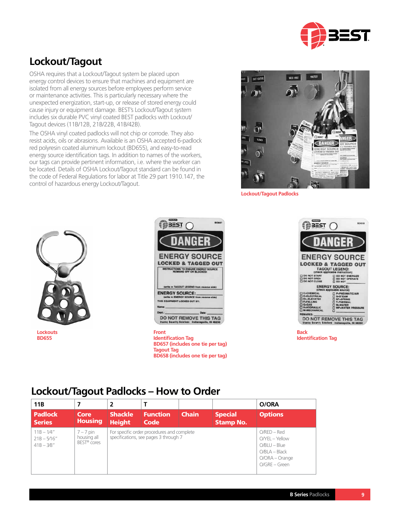

# **Lockout/Tagout**

OSHA requires that a Lockout/Tagout system be placed upon energy control devices to ensure that machines and equipment are isolated from all energy sources before employees perform service or maintenance activities. This is particularly necessary where the unexpected energization, start-up, or release of stored energy could cause injury or equipment damage. BEST's Lockout/Tagout system includes six durable PVC vinyl coated BEST padlocks with Lockout/ Tagout devices (11B/12B, 21B/22B, 41B/42B).

The OSHA vinyl coated padlocks will not chip or corrode. They also resist acids, oils or abrasions. Available is an OSHA accepted 6-padlock red polyresin coated aluminum lockout (BD655), and easy-to-read energy source identification tags. In addition to names of the workers, our tags can provide pertinent information, i.e. where the worker can be located. Details of OSHA Lockout/Tagout standard can be found in the code of Federal Regulations for labor at Title 29 part 1910.147, the control of hazardous energy Lockout/Tagout.



**Lockout/Tagout Padlocks**



**Lockouts BD655**



**Identification Tag BD657 (includes one tie per tag) Tagout Tag BD658 (includes one tie per tag)**



**Identification Tag**

## **Lockout/Tagout Padlocks – How to Order**

| 11 <sub>B</sub>                                 | 7                                                     | 2                               |                                                                                     |                                                                                                                 |                                    | O/ORA          |
|-------------------------------------------------|-------------------------------------------------------|---------------------------------|-------------------------------------------------------------------------------------|-----------------------------------------------------------------------------------------------------------------|------------------------------------|----------------|
| <b>Padlock</b><br><b>Series</b>                 | Core<br><b>Housing</b>                                | <b>Shackle</b><br><b>Height</b> | <b>Function</b><br>Code                                                             | <b>Chain</b>                                                                                                    | <b>Special</b><br><b>Stamp No.</b> | <b>Options</b> |
| $11B - 1/4"$<br>$21B - 5/16''$<br>$41B - 3/8''$ | $7 - 7$ pin<br>housing all<br>BEST <sup>®</sup> cores |                                 | For specific order procedures and complete<br>specifications, see pages 3 through 7 | $O$ / $RED - Red$<br>O/YEL - Yellow<br>$O/BLU - Blue$<br>$O/BLA - Black$<br>$O/ORA - Orange$<br>$O/GRE - Green$ |                                    |                |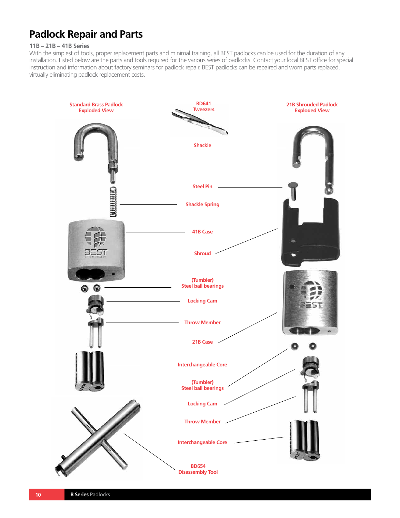# **Padlock Repair and Parts**

#### **11B – 21B – 41B Series**

With the simplest of tools, proper replacement parts and minimal training, all BEST padlocks can be used for the duration of any installation. Listed below are the parts and tools required for the various series of padlocks. Contact your local BEST office for special instruction and information about factory seminars for padlock repair. BEST padlocks can be repaired and worn parts replaced, virtually eliminating padlock replacement costs.

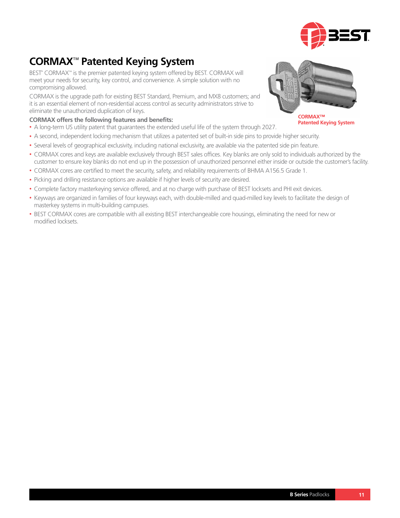

# **CORMAX**™ **Patented Keying System**

BEST® CORMAX™ is the premier patented keying system offered by BEST. CORMAX will meet your needs for security, key control, and convenience. A simple solution with no compromising allowed.

CORMAX is the upgrade path for existing BEST Standard, Premium, and MX8 customers; and it is an essential element of non-residential access control as security administrators strive to eliminate the unauthorized duplication of keys.

#### **CORMAX offers the following features and benefits:**

- A long-term US utility patent that guarantees the extended useful life of the system through 2027.
- A second, independent locking mechanism that utilizes a patented set of built-in side pins to provide higher security.
- Several levels of geographical exclusivity, including national exclusivity, are available via the patented side pin feature.
- CORMAX cores and keys are available exclusively through BEST sales offices. Key blanks are only sold to individuals authorized by the customer to ensure key blanks do not end up in the possession of unauthorized personnel either inside or outside the customer's facility.
- CORMAX cores are certified to meet the security, safety, and reliability requirements of BHMA A156.5 Grade 1.
- Picking and drilling resistance options are available if higher levels of security are desired.
- Complete factory masterkeying service offered, and at no charge with purchase of BEST locksets and PHI exit devices.
- Keyways are organized in families of four keyways each, with double-milled and quad-milled key levels to facilitate the design of masterkey systems in multi-building campuses.
- BEST CORMAX cores are compatible with all existing BEST interchangeable core housings, eliminating the need for new or modified locksets.



**CORMAX™ Patented Keying System**